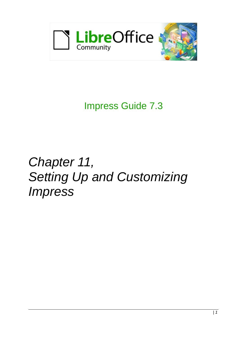

Impress Guide 7.3

# *Chapter 11, Setting Up and Customizing Impress*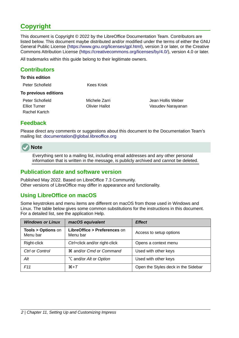# <span id="page-1-4"></span>**Copyright**

This document is Copyright © 2022 by the LibreOffice Documentation Team. Contributors are listed below. This document maybe distributed and/or modified under the terms of either the GNU General Public License (<https://www.gnu.org/licenses/gpl.html>), version 3 or later, or the Creative Commons Attribution License (<https://creativecommons.org/licenses/by/4.0/>), version 4.0 or later.

All trademarks within this guide belong to their legitimate owners.

#### <span id="page-1-3"></span>**Contributors**

#### **To this edition**

| Peter Schofield      | Kees Kriek    |                   |
|----------------------|---------------|-------------------|
| To previous editions |               |                   |
| Peter Schofield      | Michele Zarri | Jean Hollis Weber |

Elliot Turner Olivier Hallot Vasudev Narayanan

#### <span id="page-1-2"></span>**Feedback**

Rachel Kartch

Please direct any comments or suggestions about this document to the Documentation Team's mailing list: [documentation@global.libreoffice.org](mailto:documentation@global.libreoffice.org)

## **Note**

Everything sent to a mailing list, including email addresses and any other personal information that is written in the message, is publicly archived and cannot be deleted.

#### <span id="page-1-1"></span>**Publication date and software version**

Published May 2022. Based on LibreOffice 7.3 Community. Other versions of LibreOffice may differ in appearance and functionality.

#### <span id="page-1-0"></span>**Using LibreOffice on macOS**

Some keystrokes and menu items are different on macOS from those used in Windows and Linux. The table below gives some common substitutions for the instructions in this document. For a detailed list, see the application Help.

| <b>Windows or Linux</b>                  | macOS equivalent                                      | <b>Effect</b>                       |
|------------------------------------------|-------------------------------------------------------|-------------------------------------|
| <b>Tools &gt; Options on</b><br>Menu bar | LibreOffice > Preferences on<br>Menu bar              | Access to setup options             |
| Right-click                              | Ctrl+click and/or right-click                         | Opens a context menu                |
| Ctrl or Control                          | <b><math>\frac{1}{2}</math></b> and/or Cmd or Command | Used with other keys                |
| Alt                                      | $\sum$ and/or Alt or Option                           | Used with other keys                |
| F11                                      | $\mathcal{H}+T$                                       | Open the Styles deck in the Sidebar |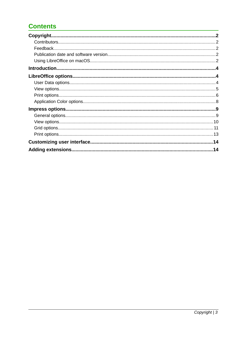## **Contents**

| Feedback. |    |
|-----------|----|
|           |    |
|           |    |
|           |    |
|           |    |
|           |    |
|           |    |
|           |    |
|           |    |
|           |    |
|           |    |
|           |    |
|           |    |
|           |    |
|           | 14 |
|           | 14 |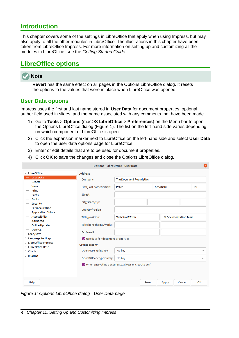## <span id="page-3-2"></span>**Introduction**

This chapter covers some of the settings in LibreOffice that apply when using Impress, but may also apply to all the other modules in LibreOffice. The illustrations in this chapter have been taken from LibreOffice Impress. For more information on setting up and customizing all the modules in LibreOffice, see the *Getting Started Guide*.

## <span id="page-3-1"></span>**LibreOffice options**

## **Note**

**Revert** has the same effect on all pages in the Options LibreOffice dialog. It resets the options to the values that were in place when LibreOffice was opened.

#### <span id="page-3-0"></span>**User Data options**

Impress uses the first and last name stored in **User Data** for document properties, optional author field used in slides, and the name associated with any comments that have been made.

- 1) Go to **Tools > Options** (macOS **LibreOffice > Preferences**) on the Menu bar to open the Options LibreOffice dialog (Figure [1\)](#page-3-3). The list on the left-hand side varies depending on which component of LibreOffice is open.
- 2) Click the expansion marker next to LibreOffice on the left-hand side and select **User Data** to open the user data options page for LibreOffice.
- 3) Enter or edit details that are to be used for document properties.
- 4) Click **OK** to save the changes and close the Options LibreOffice dialog.

|                                             |                                                          | <b>Options - LibreOffice - User Data</b> |       |           |                       | ×            |
|---------------------------------------------|----------------------------------------------------------|------------------------------------------|-------|-----------|-----------------------|--------------|
| $\vee$ LibreOffice                          | <b>Address</b>                                           |                                          |       |           |                       |              |
| <b>User Data</b>                            | Company:                                                 | The Document Foundation                  |       |           |                       |              |
| General                                     |                                                          |                                          |       |           |                       |              |
| <b>View</b>                                 | First/last name/initials:                                | Peter                                    |       | Schofield |                       | <b>PS</b>    |
| Print                                       |                                                          |                                          |       |           |                       |              |
| Paths                                       | Street:                                                  |                                          |       |           |                       |              |
| <b>Fonts</b>                                |                                                          |                                          |       |           |                       |              |
| <b>Security</b>                             | City/state/zip:                                          |                                          |       |           |                       |              |
| Personalization                             | Country/region:                                          |                                          |       |           |                       |              |
| <b>Application Colors</b>                   |                                                          |                                          |       |           |                       |              |
| Accessibility                               | Title/position:                                          | <b>Technical Writer</b>                  |       |           | LO Documentation Team |              |
| Advanced                                    |                                                          |                                          |       |           |                       |              |
| <b>Online Update</b>                        | Telephone (home/work):                                   |                                          |       |           |                       |              |
| OpenCL                                      | Fax/email:                                               |                                          |       |           |                       |              |
| > Load/Save                                 |                                                          |                                          |       |           |                       |              |
| $\angle$ Language Settings                  | V Use data for document properties                       |                                          |       |           |                       |              |
| > LibreOffice Impress<br>> LibreOffice Base | Cryptography                                             |                                          |       |           |                       |              |
| $\angle$ Charts                             | OpenPGP signing key:                                     | No key                                   |       |           |                       | $\checkmark$ |
| $>$ Internet                                | OpenPGP encryption key:                                  | No key                                   |       |           |                       | $\checkmark$ |
|                                             | $\vee$ When encrypting documents, always encrypt to self |                                          |       |           |                       |              |
|                                             |                                                          |                                          |       |           |                       |              |
| Help                                        |                                                          |                                          | Reset | Apply     | Cancel                | OK           |

<span id="page-3-3"></span>*Figure 1: Options LibreOffice dialog - User Data page*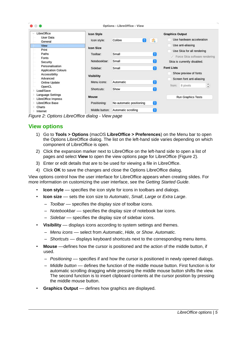| . .                                             |                                  | <b>Options - LibreOffice - View</b> |                |                                                                    |
|-------------------------------------------------|----------------------------------|-------------------------------------|----------------|--------------------------------------------------------------------|
| LibreOffice<br><b>User Data</b><br>General      | <b>Icon Style</b><br>Icon style: | Θ<br>Colibre                        | ⊇ক             | <b>Graphics Output</b><br>Use hardware acceleration                |
| View<br>Print                                   | <b>Icon Size</b>                 |                                     |                | Use anti-aliasing                                                  |
| Paths<br>Fonts                                  | Toolbar:                         | Small                               | €              | Use Skia for all rendering<br>$\vee$ Force Skia software rendering |
| Security<br>Personalisation                     | Notebookbar:                     | Small                               | e              | Skia is currently disabled.                                        |
| <b>Application Colours</b><br>Accessibility     | Sidebar:                         | Small                               | $ \mathbf{c} $ | <b>Font Lists</b><br>Show preview of fonts                         |
| Advanced                                        | <b>Visibility</b><br>Menu icons: | Automatic                           | €              | Screen font anti-aliasing                                          |
| <b>Online Update</b><br>OpenCL<br>Load/Save     | Shortcuts:                       | Show                                | G              | $\hat{\cdot}$<br>8 pixels<br>from:                                 |
| <b>Language Settings</b><br>LibreOffice Impress | Mouse                            |                                     |                | <b>Run Graphics Tests</b>                                          |
| LibreOffice Base<br>Charts<br>$\rightarrow$     | Positioning:                     | No automatic positioning            | $\bullet$      |                                                                    |
| Internet<br>$\rightarrow$                       | Middle button:                   | Automatic scrolling                 | $ \bullet $    |                                                                    |

<span id="page-4-1"></span>*Figure 2: Options LibreOffice dialog - View page*

#### <span id="page-4-0"></span>**View options**

- 1) Go to **Tools > Options** (macOS **LibreOffice > Preferences**) on the Menu bar to open the Options LibreOffice dialog. The list on the left-hand side varies depending on which component of LibreOffice is open.
- 2) Click the expansion marker next to LibreOffice on the left-hand side to open a list of pages and select **View** to open the view options page for LibreOffice (Figure [2](#page-4-1)).
- 3) Enter or edit details that are to be used for viewing a file in LibreOffice.
- 4) Click **OK** to save the changes and close the Options LibreOffice dialog.

View options control how the user interface for LibreOffice appears when creating slides. For more information on customizing the user interface, see the *Getting Started Guide*.

- **Icon style** –– specifies the icon style for icons in toolbars and dialogs.
- **Icon size** –– sets the icon size to *Automatic*, *Small*, *Large* or *Extra Large*.
	- *Toolbar* –– specifies the display size of toolbar icons.
	- *Notebookbar* –– specifies the display size of notebook bar icons.
	- *Sidebar* –– specifies the display size of sidebar icons.
- **Visibility** displays icons according to system settings and themes.
	- *Menu icons* –– select from *Automatic*, *Hide,* or *Show*. *Automatic.*
	- *Shortcuts* –– displays keyboard shortcuts next to the corresponding menu items.
- **Mouse** ––defines how the cursor is positioned and the action of the middle button, if used.
	- *Positioning* –– specifies if and how the cursor is positioned in newly opened dialogs.
	- *Middle button* –– defines the function of the middle mouse button. First function is for automatic scrolling dragging while pressing the middle mouse button shifts the view. The second function is to insert clipboard contents at the cursor position by pressing the middle mouse button.
- **Graphics Output** defines how graphics are displayed.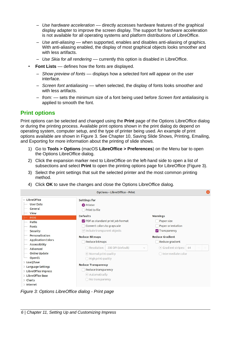- *Use hardware acceleration* –– directly accesses hardware features of the graphical display adapter to improve the screen display. The support for hardware acceleration is not available for all operating systems and platform distributions of LibreOffice.
- *Use anti-aliasing* –– when supported, enables and disables anti-aliasing of graphics. With anti-aliasing enabled, the display of most graphical objects looks smoother and with less artifacts.
- *Use Skia for all rendering* –– currently this option is disabled in LibreOffice.
- **Font Lists** defines how the fonts are displayed.
	- *Show preview of fonts* –– displays how a selected font will appear on the user interface.
	- *Screen font antialiasing* –– when selected, the display of fonts looks smoother and with less artifacts.
	- *from:* –– sets the minimum size of a font being used before *Screen font antialiasing* is applied to smooth the font.

#### <span id="page-5-0"></span>**Print options**

Print options can be selected and changed using the **Print** page of the Options LibreOffice dialog or during the printing process. Available print options shown in the print dialog do depend on operating system, computer setup, and the type of printer being used. An example of print options available are shown in Figure [3.](#page-5-1) See Chapter 10, Saving Slide Shows, Printing, Emailing, and Exporting for more information about the printing of slide shows.

- 1) Go to **Tools > Options** (macOS **LibreOffice > Preferences**) on the Menu bar to open the Options LibreOffice dialog.
- 2) Click the expansion marker next to LibreOffice on the left-hand side to open a list of subsections and select **Print** to open the printing options page for LibreOffice (Figure [3\)](#page-5-1).
- 3) Select the print settings that suit the selected printer and the most common printing method.
- 4) Click **OK** to save the changes and close the Options LibreOffice dialog.

|                                                                                                         |                                                                                                                                                  | <b>Options - LibreOffice - Print</b>                                                                              |  |  |  |  |   |
|---------------------------------------------------------------------------------------------------------|--------------------------------------------------------------------------------------------------------------------------------------------------|-------------------------------------------------------------------------------------------------------------------|--|--|--|--|---|
| $\vee$ LibreOffice<br><b>User Data</b><br>General<br>View                                               | <b>Settings for</b><br><b>O</b> Printer<br>Print to file<br><b>Defaults</b>                                                                      |                                                                                                                   |  |  |  |  |   |
| Print<br>Paths<br><b>Fonts</b><br>Security<br>Personalization<br><b>Application Colors</b>              | PDF as standard print job format<br>Convert colors to grayscale<br>$\vee$ Include transparent objects<br><b>Reduce Bitmaps</b><br>Reduce bitmaps | Warnings<br>Paper size<br>Paper orientation<br><b>V</b> Transparency<br><b>Reduce Gradient</b><br>Reduce gradient |  |  |  |  |   |
| Accessibility<br>Advanced<br>Online Update<br>OpenCL<br>> Load/Save                                     | O Resolution:                                                                                                                                    | 200 DPI (default)<br>$\checkmark$<br>• Normal print quality<br>$\bigcirc$ High print quality                      |  |  |  |  | ÷ |
| $>$ Language Settings<br>> LibreOffice Impress<br>> LibreOffice Base<br>$\angle$ Charts<br>$>$ Internet | <b>Reduce Transparency</b><br>Reduce transparency<br>Automatically<br>$\bigcirc$ No transparency                                                 |                                                                                                                   |  |  |  |  |   |

<span id="page-5-1"></span>*Figure 3: Options LibreOffice dialog - Print page*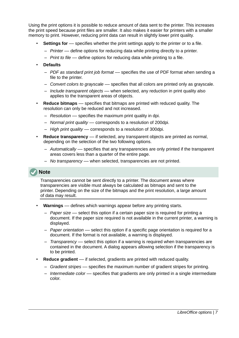Using the print options it is possible to reduce amount of data sent to the printer. This increases the print speed because print files are smaller. It also makes it easier for printers with a smaller memory to print. However, reducing print data can result in slightly lower print quality.

- **Settings for** specifies whether the print settings apply to the printer or to a file.
	- *Printer* –– define options for reducing data while printing directly to a printer.
	- *Print to file* –– define options for reducing data while printing to a file.
- **Defaults**
	- *PDF as standard print job format* –– specifies the use of PDF format when sending a file to the printer.
	- *Convert colors to grayscale* –– specifies that all colors are printed only as grayscale.
	- *Include transparent objects* –– when selected, any reduction in print quality also applies to the transparent areas of objects.
- **Reduce bitmaps** –– specifies that bitmaps are printed with reduced quality. The resolution can only be reduced and not increased.
	- *Resolution* –– specifies the maximum print quality in dpi.
	- *Normal print quality* –– corresponds to a resolution of 200dpi.
	- *High print quality* –– corresponds to a resolution of 300dpi.
- **Reduce transparency** if selected, any transparent objects are printed as normal, depending on the selection of the two following options.
	- *Automatically* –– specifies that any transparencies are only printed if the transparent areas covers less than a quarter of the entire page.
	- *No transparency* –– when selected, transparencies are not printed.

## **Note**

Transparencies cannot be sent directly to a printer. The document areas where transparencies are visible must always be calculated as bitmaps and sent to the printer. Depending on the size of the bitmaps and the print resolution, a large amount of data may result.

- **Warnings** –– defines which warnings appear before any printing starts.
	- *Paper size* –– select this option if a certain paper size is required for printing a document. If the paper size required is not available in the current printer, a warning is displayed.
	- *Paper orientation* –– select this option if a specific page orientation is required for a document. If the format is not available, a warning is displayed.
	- *Transparency* –– select this option if a warning is required when transparencies are contained in the document. A dialog appears allowing selection if the transparency is to be printed.
- **Reduce gradient** –– if selected, gradients are printed with reduced quality.
	- *Gradient stripes* –– specifies the maximum number of gradient stripes for printing.
	- *Intermediate color* –– specifies that gradients are only printed in a single intermediate color.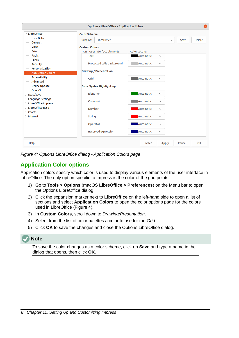| ×<br><b>Options - LibreOffice - Application Colors</b> |                                               |                            |                              |                      |               |  |  |
|--------------------------------------------------------|-----------------------------------------------|----------------------------|------------------------------|----------------------|---------------|--|--|
| $\vee$ LibreOffice<br><b>User Data</b><br>General      | <b>Color Scheme</b><br>LibreOffice<br>Scheme: |                            |                              | $\checkmark$<br>Save | <b>Delete</b> |  |  |
| View<br>Print                                          | <b>Custom Colors</b>                          |                            |                              |                      |               |  |  |
| Paths                                                  | On User interface elements<br><b>Text</b>     | Color setting<br>Automatic | $\checkmark$                 |                      |               |  |  |
| <b>Fonts</b><br><b>Security</b>                        | Protected cells background                    | Automatic                  | $\checkmark$                 |                      |               |  |  |
| Personalization<br><b>Application Colors</b>           | <b>Drawing / Presentation</b>                 |                            |                              |                      |               |  |  |
| Accessibility<br>Advanced                              | Grid                                          | Automatic                  | $\checkmark$                 |                      |               |  |  |
| Online Update<br>OpenCL                                | <b>Basic Syntax Highlighting</b>              |                            |                              |                      |               |  |  |
| > Load/Save<br>$>$ Language Settings                   | Identifier<br>Comment                         | Automatic<br>Automatic     | $\checkmark$<br>$\checkmark$ |                      |               |  |  |
| > LibreOffice Impress<br>> LibreOffice Base            | Number                                        | Automatic                  | $\checkmark$                 |                      |               |  |  |
| $\angle$ Charts<br>$\angle$ Internet                   | <b>String</b>                                 | Automatic                  | $\checkmark$                 |                      |               |  |  |
|                                                        | Operator                                      | Automatic                  | $\checkmark$                 |                      |               |  |  |
|                                                        | Reserved expression                           | Automatic                  | $\checkmark$                 |                      |               |  |  |
| Help                                                   |                                               | Reset                      | Apply                        | Cancel               | OK            |  |  |

<span id="page-7-1"></span>*Figure 4: Options LibreOffice dialog - Application Colors page*

## <span id="page-7-0"></span>**Application Color options**

Application colors specify which color is used to display various elements of the user interface in LibreOffice. The only option specific to Impress is the color of the grid points.

- 1) Go to **Tools > Options** (macOS **LibreOffice > Preferences**) on the Menu bar to open the Options LibreOffice dialog.
- 2) Click the expansion marker next to **LibreOffice** on the left-hand side to open a list of sections and select **Application Colors** to open the color options page for the colors used in LibreOffice (Figure [4](#page-7-1)).
- 3) In **Custom Colors**, scroll down to *Drawing/Presentation*.
- 4) Select from the list of color palettes a color to use for the *Grid*.
- 5) Click **OK** to save the changes and close the Options LibreOffice dialog.

#### **Note**

To save the color changes as a color scheme, click on **Save** and type a name in the dialog that opens, then click **OK**.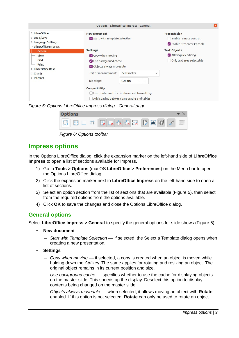|                                                                                            |                                                                                                                                     | <b>Options - LibreOffice Impress - General</b>                                                                                   |              |                                                  |  |
|--------------------------------------------------------------------------------------------|-------------------------------------------------------------------------------------------------------------------------------------|----------------------------------------------------------------------------------------------------------------------------------|--------------|--------------------------------------------------|--|
| > LibreOffice<br>> Load/Save<br>$\angle$ Language Settings<br>$\vee$ LibreOffice Impress   | <b>New Document</b><br>Start with Template Selection                                                                                | <b>Presentation</b><br>Enable remote control<br>Enable Presenter Console                                                         |              |                                                  |  |
| General                                                                                    | <b>Settings</b>                                                                                                                     |                                                                                                                                  |              | <b>Text Objects</b>                              |  |
| <b>View</b><br>Grid<br>Print<br>> LibreOffice Base<br>$\angle$ Charts<br>$\angle$ Internet | $\vee$ Copy when moving<br>V Use background cache<br>Objects always moveable<br>Unit of measurement:<br>Tab stops:<br>Compatibility | Centimeter<br>1.25 cm<br>$^{+}$<br>-<br>Use printer metrics for document formatting<br>Add spacing between paragraphs and tables | $\checkmark$ | Allow quick editing<br>Only text area selectable |  |

<span id="page-8-2"></span>*Figure 5: Options LibreOffice Impress dialog - General page*

| <b>Options</b> |                                                                                                                                                                                                                                                                                                                                                                                                                         |  |
|----------------|-------------------------------------------------------------------------------------------------------------------------------------------------------------------------------------------------------------------------------------------------------------------------------------------------------------------------------------------------------------------------------------------------------------------------|--|
|                | $\boxed{ \mathbb{S} \mathbb{E} \mathbb{E} \mathbb{E} \mathbb{E} \mathbb{E} \mathbb{E} \mathbb{E} \mathbb{E} \mathbb{E} \mathbb{E} \mathbb{E} \mathbb{E} \mathbb{E} \mathbb{E} \mathbb{E} \mathbb{E} \mathbb{E} \mathbb{E} \mathbb{E} \mathbb{E} \mathbb{E} \mathbb{E} \mathbb{E} \mathbb{E} \mathbb{E} \mathbb{E} \mathbb{E} \mathbb{E} \mathbb{E} \mathbb{E} \mathbb{E} \mathbb{E} \mathbb{E} \mathbb{E} \mathbb{E} \$ |  |

<span id="page-8-3"></span>*Figure 6: Options toolbar*

## <span id="page-8-1"></span>**Impress options**

In the Options LibreOffice dialog, click the expansion marker on the left-hand side of **LibreOffice Impress** to open a list of sections available for Impress.

- 1) Go to **Tools > Options** (macOS **LibreOffice > Preferences**) on the Menu bar to open the Options LibreOffice dialog.
- 2) Click the expansion marker next to **LibreOffice Impress** on the left-hand side to open a list of sections.
- 3) Select an option section from the list of sections that are available (Figure [5](#page-8-2)), then select from the required options from the options available.
- 4) Click **OK** to save the changes and close the Options LibreOffice dialog.

#### <span id="page-8-0"></span>**General options**

Select **LibreOffice Impress > General** to specify the general options for slide shows (Figure [5](#page-8-2)).

- **New document**
	- *Start with Template Selection* –– if selected, the Select a Template dialog opens when creating a new presentation.
- **Settings**
	- *Copy when moving* –– if selected, a copy is created when an object is moved while holding down the *Ctrl* key. The same applies for rotating and resizing an object. The original object remains in its current position and size.
	- *Use background cache* –– specifies whether to use the cache for displaying objects on the master slide. This speeds up the display. Deselect this option to display contents being changed on the master slide.
	- *Objects always moveable* –– when selected, it allows moving an object with **Rotate** enabled. If this option is not selected, **Rotate** can only be used to rotate an object.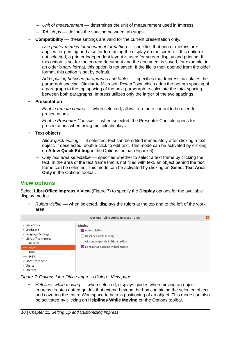- *Unit of measurement* –– determines the unit of measurement used in Impress.
- *Tab stops* –– defines the spacing between tab stops.
- **Compatibility** these settings are valid for the current presentation only.
	- *Use printer metrics for document formatting* –– specifies that printer metrics are applied for printing and also for formatting the display on the screen. If this option is not selected, a printer independent layout is used for screen display and printing. If this option is set for the current document and the document is saved, for example, in an older binary format, this option is not saved. If the file is then opened from the older format, this option is set by default.
	- *Add spacing between paragraphs and tables* –– specifies that Impress calculates the paragraph spacing. Similar to Microsoft PowerPoint which adds the bottom spacing of a paragraph to the top spacing of the next paragraph to calculate the total spacing between both paragraphs. Impress utilizes only the larger of the two spacings.
- **Presentation**
	- *Enable remote control* –– when selected, allows a remote control to be used for presentations.
	- *Enable Presenter Console* –– when selected, the Presenter Console opens for presentations when using multiple displays.
- **Text objects**
	- *Allow quick editing* –– if selected, text can be edited immediately after clicking a text object. If deselected, double-click to edit text. This mode can be activated by clicking on **Allow Quick Editing** in the Options toolbar (Figure [6](#page-8-3)).
	- *Only text area selectable* –– specifies whether to select a text frame by clicking the text. In the area of the text frame that is not filled with text, an object behind the text frame can be selected. This mode can be activated by clicking on **Select Text Area Only** in the Options toolbar.

#### <span id="page-9-0"></span>**View options**

Select **LibreOffice Impress > View** (Figure [7\)](#page-9-1) to specify the **Display** options for the available display modes.

• *Rulers visible* –– when selected, displays the rulers at the top and to the left of the work area.



*Figure 7: Options LibreOffice Impress dialog - View page*

<span id="page-9-1"></span>• *Helplines while moving* –– when selected, displays guides when moving an object. Impress creates dotted guides that extend beyond the box containing the selected object and covering the entire Workspace to help in positioning of an object. This mode can also be activated by clicking on **Helplines While Moving** on the Options toolbar.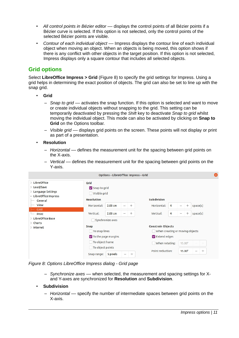- *All control points in Bézier editor* –– displays the control points of all Bézier points if a Bézier curve is selected. If this option is not selected, only the control points of the selected Bézier points are visible.
- *Contour of each individual object* –– Impress displays the contour line of each individual object when moving an object. When an objects is being moved, this option shows if there is any conflict with other objects in the target position. If this option is not selected, Impress displays only a square contour that includes all selected objects.

#### <span id="page-10-0"></span>**Grid options**

Select **LibreOffice Impress > Grid** (Figure [8](#page-10-1)) to specify the grid settings for Impress. Using a grid helps in determining the exact position of objects. The grid can also be set to line up with the snap grid.

- **Grid**
	- *Snap to grid* –– activates the snap function. If this option is selected and want to move or create individual objects without snapping to the grid. This setting can be temporarily deactivated by pressing the *Shift* key to deactivate *Snap to grid* whilst moving the individual object. This mode can also be activated by clicking on **Snap to Grid** on the Options toolbar.
	- *Visible grid* –– displays grid points on the screen. These points will not display or print as part of a presentation.
- **Resolution**
	- *Horizontal* –– defines the measurement unit for the spacing between grid points on the X-axis.
	- *Vertical* –– defines the measurement unit for the spacing between grid points on the Y-axis.

|                                                                                          |                                      | Options - LibreOffice Impress - Grid |                          |        |                                 |                |                           |          |        |
|------------------------------------------------------------------------------------------|--------------------------------------|--------------------------------------|--------------------------|--------|---------------------------------|----------------|---------------------------|----------|--------|
| > LibreOffice<br>> Load/Save<br>$\angle$ Language Settings<br>$\vee$ LibreOffice Impress | Grid<br>Snap to grid<br>Visible grid |                                      |                          |        |                                 |                |                           |          |        |
| General                                                                                  | <b>Resolution</b>                    |                                      |                          |        | <b>Subdivision</b>              |                |                           |          |        |
| <b>View</b>                                                                              | Horizontal:                          | $2.00 \text{ cm}$                    | $\qquad \qquad -$        | $^{+}$ | Horizontal:                     | 4              | $^{+}$                    | space(s) |        |
| Grid<br>Print                                                                            | Vertical:                            | $2.00 \text{ cm}$                    | $\overline{\phantom{m}}$ | $^{+}$ | Vertical:                       | $\overline{4}$ | $^{+}$<br>$\qquad \qquad$ | space(s) |        |
| > LibreOffice Base<br>$\angle$ Charts                                                    |                                      | Synchronize axes                     |                          |        |                                 |                |                           |          |        |
| $\angle$ Internet                                                                        | <b>Snap</b>                          |                                      |                          |        | <b>Constrain Objects</b>        |                |                           |          |        |
|                                                                                          | To snap lines                        |                                      |                          |        | When creating or moving objects |                |                           |          |        |
|                                                                                          | To the page margins                  |                                      |                          |        | Extend edges                    |                |                           |          |        |
|                                                                                          | To object frame                      |                                      |                          |        | When rotating:                  |                | $15.00^\circ$             |          | $+$    |
|                                                                                          | To object points<br>Snap range:      | 5 pixels                             |                          | $^{+}$ | Point reduction:                |                | $15.00^\circ$             | —        | $^{+}$ |

*Figure 8: Options LibreOffice Impress dialog - Grid page*

<span id="page-10-1"></span>– *Synchronize axes* –– when selected, the measurement and spacing settings for Xand Y-axes are synchronized for **Resolution** and **Subdivision**.

#### • **Subdivision**

– *Horizontal* –– specify the number of intermediate spaces between grid points on the X-axis.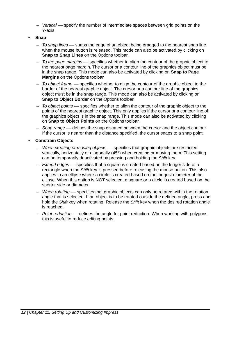- *Vertical* –– specify the number of intermediate spaces between grid points on the Y-axis.
- **Snap**
	- *To snap lines* –– snaps the edge of an object being dragged to the nearest snap line when the mouse button is released. This mode can also be activated by clicking on **Snap to Snap Lines** on the Options toolbar.
	- *To the page margins* –– specifies whether to align the contour of the graphic object to the nearest page margin. The cursor or a contour line of the graphics object must be in the snap range. This mode can also be activated by clicking on **Snap to Page Margins** on the Options toolbar.
	- *To object frame* –– specifies whether to align the contour of the graphic object to the border of the nearest graphic object. The cursor or a contour line of the graphics object must be in the snap range. This mode can also be activated by clicking on **Snap to Object Border** on the Options toolbar.
	- *To object points* –– specifies whether to align the contour of the graphic object to the points of the nearest graphic object. This only applies if the cursor or a contour line of the graphics object is in the snap range. This mode can also be activated by clicking on **Snap to Object Points** on the Options toolbar.
	- *Snap range* –– defines the snap distance between the cursor and the object contour. If the cursor is nearer than the distance specified, the cursor snaps to a snap point.

#### • **Constrain Objects**

- *When creating or moving objects* –– specifies that graphic objects are restricted vertically, horizontally or diagonally (45°) when creating or moving them. This setting can be temporarily deactivated by pressing and holding the *Shift* key.
- *Extend edges* –– specifies that a square is created based on the longer side of a rectangle when the *Shift* key is pressed before releasing the mouse button. This also applies to an ellipse where a circle is created based on the longest diameter of the ellipse. When this option is NOT selected, a square or a circle is created based on the shorter side or diameter.
- *When rotating* –– specifies that graphic objects can only be rotated within the rotation angle that is selected. If an object is to be rotated outside the defined angle, press and hold the *Shift* key when rotating. Release the *Shift* key when the desired rotation angle is reached.
- *Point reduction* –– defines the angle for point reduction. When working with polygons, this is useful to reduce editing points.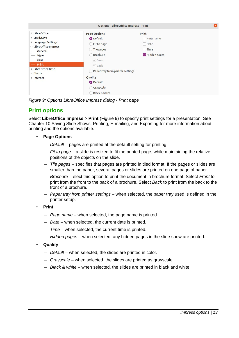|                                                                                                             | <b>Options - LibreOffice Impress - Print</b>                                                                                    |                                                                       |  |  |  |  |
|-------------------------------------------------------------------------------------------------------------|---------------------------------------------------------------------------------------------------------------------------------|-----------------------------------------------------------------------|--|--|--|--|
| > LibreOffice<br>> Load/Save<br>> Language Settings<br>$\vee$ LibreOffice Impress<br>General<br><b>View</b> | <b>Page Options</b><br>O Default<br>◯ Fit to page<br>◯ Tile pages<br>Brochure<br>$\bigcirc$                                     | Print<br>Page name<br>Date<br>$\Box$<br>Time<br>- 1<br>V Hidden pages |  |  |  |  |
| Grid<br>Print<br>> LibreOffice Base<br>$\angle$ Charts<br>$\angle$ Internet                                 | $\sqrt{}$ Front<br>$\vee$ Back<br>Paper tray from printer settings<br><b>Quality</b><br>O Default<br>Grayscale<br>Black & white |                                                                       |  |  |  |  |

<span id="page-12-1"></span>*Figure 9: Options LibreOffice Impress dialog - Print page*

#### <span id="page-12-0"></span>**Print options**

Select **LibreOffice Impress > Print** (Figure [9\)](#page-12-1) to specify print settings for a presentation. See Chapter 10 Saving Slide Shows, Printing, E-mailing, and Exporting for more information about printing and the options available.

- **Page Options**
	- *Default* pages are printed at the default setting for printing.
	- *Fit to page* a slide is resized to fit the printed page, while maintaining the relative positions of the objects on the slide.
	- *Tile pages* specifies that pages are printed in tiled format. If the pages or slides are smaller than the paper, several pages or slides are printed on one page of paper.
	- *Brochure* elect this option to print the document in brochure format. Select *Front* to print from the front to the back of a brochure. Select *Back* to print from the back to the front of a brochure.
	- *Paper tray from printer settings* when selected, the paper tray used is defined in the printer setup.
- **Print**
	- *Page name* when selected, the page name is printed.
	- *Date* when selected, the current date is printed.
	- *Time* when selected, the current time is printed.
	- *Hidden pages* when selected, any hidden pages in the slide show are printed.
- **Quality**
	- *Default* when selected, the slides are printed in color.
	- *Grayscale* when selected, the slides are printed as grayscale.
	- *Black & white* when selected, the slides are printed in black and white.